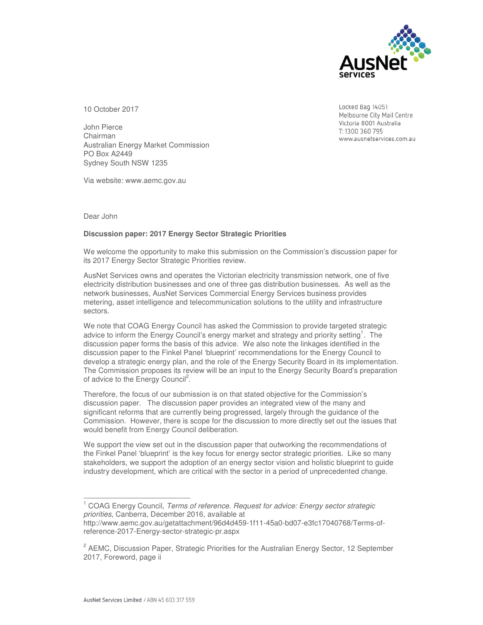

Locked Bag 14051 Melbourne City Mail Centre Victoria 8001 Australia T: 1300 360 795

www.ausnetservices.com.au

10 October 2017

John Pierce Chairman Australian Energy Market Commission PO Box A2449 Sydney South NSW 1235

Via website: www.aemc.gov.au

Dear John

 $\overline{a}$ 

## **Discussion paper: 2017 Energy Sector Strategic Priorities**

We welcome the opportunity to make this submission on the Commission's discussion paper for its 2017 Energy Sector Strategic Priorities review.

AusNet Services owns and operates the Victorian electricity transmission network, one of five electricity distribution businesses and one of three gas distribution businesses. As well as the network businesses, AusNet Services Commercial Energy Services business provides metering, asset intelligence and telecommunication solutions to the utility and infrastructure sectors.

We note that COAG Energy Council has asked the Commission to provide targeted strategic advice to inform the Energy Council's energy market and strategy and priority setting<sup>1</sup>. The discussion paper forms the basis of this advice. We also note the linkages identified in the discussion paper to the Finkel Panel 'blueprint' recommendations for the Energy Council to develop a strategic energy plan, and the role of the Energy Security Board in its implementation. The Commission proposes its review will be an input to the Energy Security Board's preparation of advice to the Energy Council<sup>2</sup>.

Therefore, the focus of our submission is on that stated objective for the Commission's discussion paper. The discussion paper provides an integrated view of the many and significant reforms that are currently being progressed, largely through the guidance of the Commission. However, there is scope for the discussion to more directly set out the issues that would benefit from Energy Council deliberation.

We support the view set out in the discussion paper that outworking the recommendations of the Finkel Panel 'blueprint' is the key focus for energy sector strategic priorities. Like so many stakeholders, we support the adoption of an energy sector vision and holistic blueprint to guide industry development, which are critical with the sector in a period of unprecedented change.

<sup>&</sup>lt;sup>1</sup> COAG Energy Council, *Terms of reference. Request for advice: Energy sector strategic priorities*, Canberra, December 2016, available at

http://www.aemc.gov.au/getattachment/96d4d459-1f11-45a0-bd07-e3fc17040768/Terms-ofreference-2017-Energy-sector-strategic-pr.aspx

<sup>&</sup>lt;sup>2</sup> AEMC, Discussion Paper, Strategic Priorities for the Australian Energy Sector, 12 September 2017, Foreword, page ii